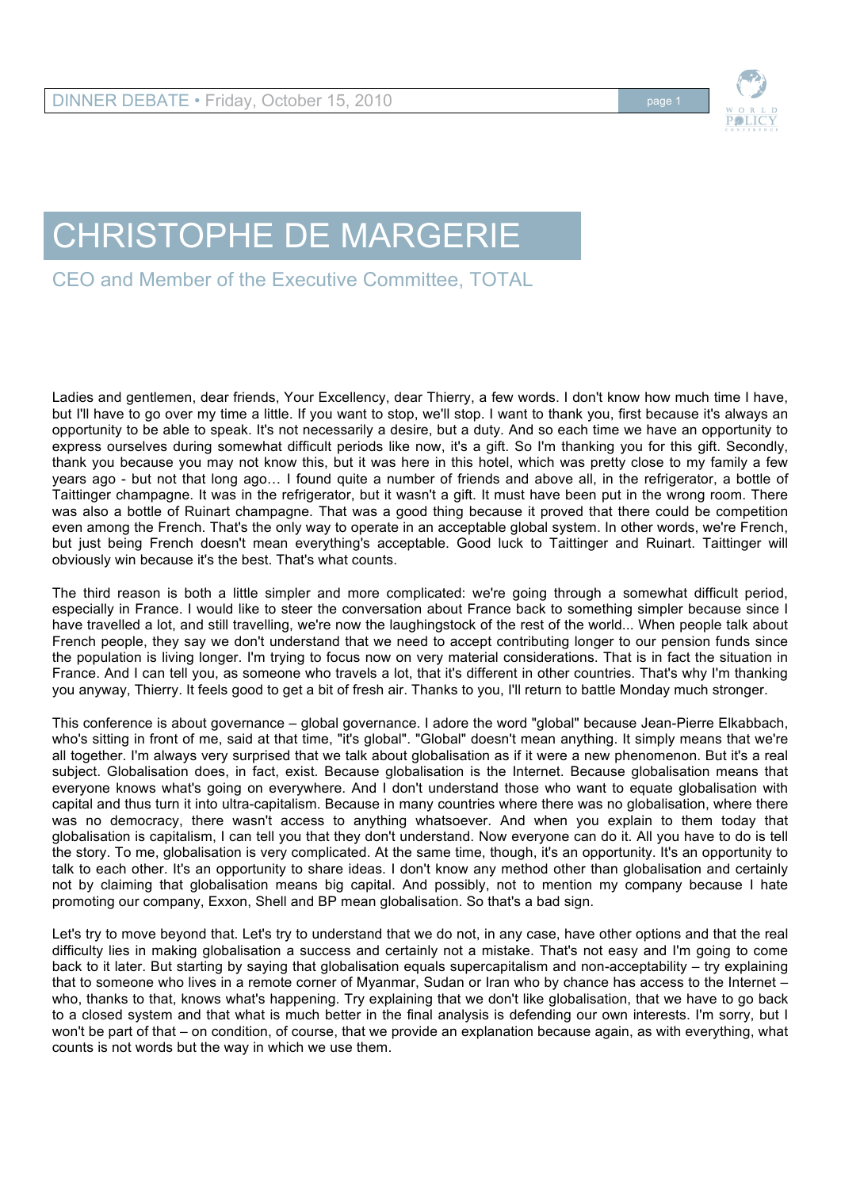

## CHRISTOPHE DE MARGERIE

CEO and Member of the Executive Committee, TOTAL

Ladies and gentlemen, dear friends, Your Excellency, dear Thierry, a few words. I don't know how much time I have, but I'll have to go over my time a little. If you want to stop, we'll stop. I want to thank you, first because it's always an opportunity to be able to speak. It's not necessarily a desire, but a duty. And so each time we have an opportunity to express ourselves during somewhat difficult periods like now, it's a gift. So I'm thanking you for this gift. Secondly, thank you because you may not know this, but it was here in this hotel, which was pretty close to my family a few years ago - but not that long ago… I found quite a number of friends and above all, in the refrigerator, a bottle of Taittinger champagne. It was in the refrigerator, but it wasn't a gift. It must have been put in the wrong room. There was also a bottle of Ruinart champagne. That was a good thing because it proved that there could be competition even among the French. That's the only way to operate in an acceptable global system. In other words, we're French, but just being French doesn't mean everything's acceptable. Good luck to Taittinger and Ruinart. Taittinger will obviously win because it's the best. That's what counts.

The third reason is both a little simpler and more complicated: we're going through a somewhat difficult period, especially in France. I would like to steer the conversation about France back to something simpler because since I have travelled a lot, and still travelling, we're now the laughingstock of the rest of the world... When people talk about French people, they say we don't understand that we need to accept contributing longer to our pension funds since the population is living longer. I'm trying to focus now on very material considerations. That is in fact the situation in France. And I can tell you, as someone who travels a lot, that it's different in other countries. That's why I'm thanking you anyway, Thierry. It feels good to get a bit of fresh air. Thanks to you, I'll return to battle Monday much stronger.

This conference is about governance – global governance. I adore the word "global" because Jean-Pierre Elkabbach, who's sitting in front of me, said at that time, "it's global". "Global" doesn't mean anything. It simply means that we're all together. I'm always very surprised that we talk about globalisation as if it were a new phenomenon. But it's a real subject. Globalisation does, in fact, exist. Because globalisation is the Internet. Because globalisation means that everyone knows what's going on everywhere. And I don't understand those who want to equate globalisation with capital and thus turn it into ultra-capitalism. Because in many countries where there was no globalisation, where there was no democracy, there wasn't access to anything whatsoever. And when you explain to them today that globalisation is capitalism, I can tell you that they don't understand. Now everyone can do it. All you have to do is tell the story. To me, globalisation is very complicated. At the same time, though, it's an opportunity. It's an opportunity to talk to each other. It's an opportunity to share ideas. I don't know any method other than globalisation and certainly not by claiming that globalisation means big capital. And possibly, not to mention my company because I hate promoting our company, Exxon, Shell and BP mean globalisation. So that's a bad sign.

Let's try to move beyond that. Let's try to understand that we do not, in any case, have other options and that the real difficulty lies in making globalisation a success and certainly not a mistake. That's not easy and I'm going to come back to it later. But starting by saying that globalisation equals supercapitalism and non-acceptability – try explaining that to someone who lives in a remote corner of Myanmar, Sudan or Iran who by chance has access to the Internet – who, thanks to that, knows what's happening. Try explaining that we don't like globalisation, that we have to go back to a closed system and that what is much better in the final analysis is defending our own interests. I'm sorry, but I won't be part of that – on condition, of course, that we provide an explanation because again, as with everything, what counts is not words but the way in which we use them.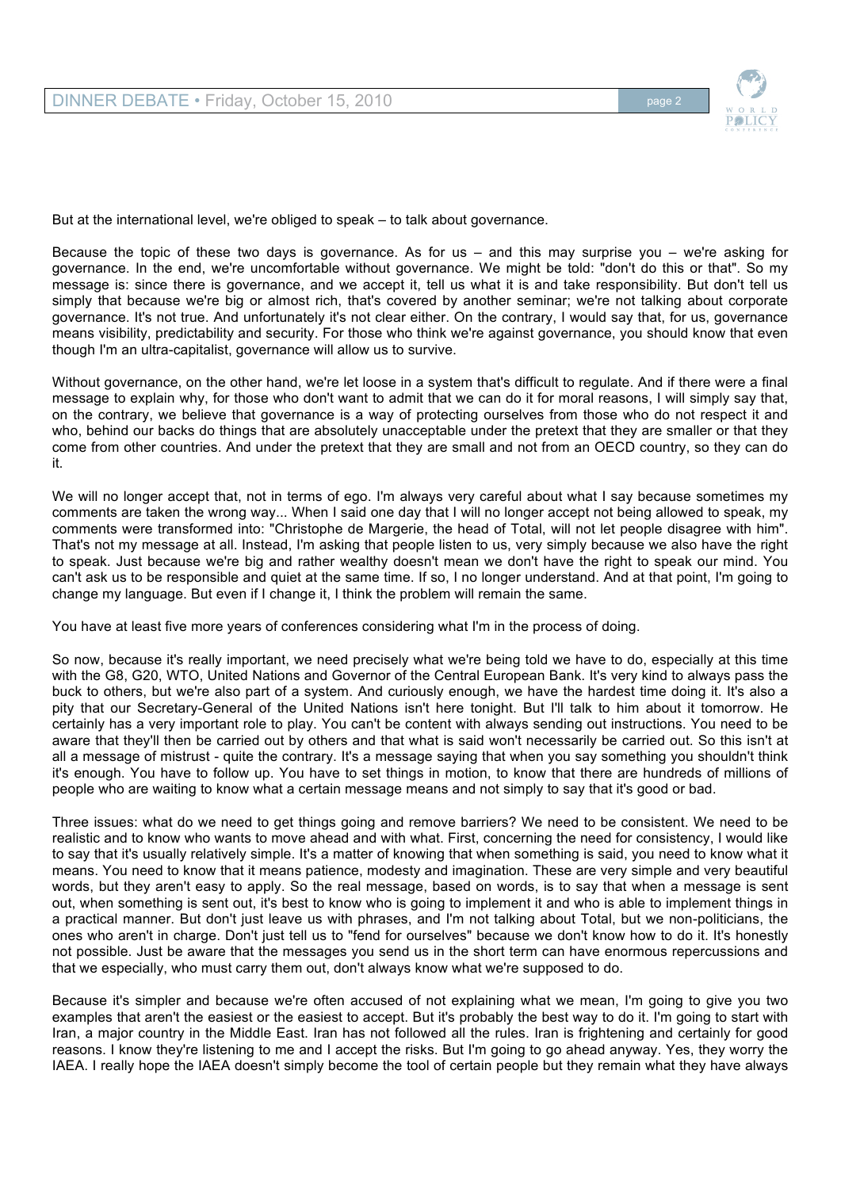

But at the international level, we're obliged to speak – to talk about governance.

Because the topic of these two days is governance. As for us  $-$  and this may surprise you  $-$  we're asking for governance. In the end, we're uncomfortable without governance. We might be told: "don't do this or that". So my message is: since there is governance, and we accept it, tell us what it is and take responsibility. But don't tell us simply that because we're big or almost rich, that's covered by another seminar; we're not talking about corporate governance. It's not true. And unfortunately it's not clear either. On the contrary, I would say that, for us, governance means visibility, predictability and security. For those who think we're against governance, you should know that even though I'm an ultra-capitalist, governance will allow us to survive.

Without governance, on the other hand, we're let loose in a system that's difficult to regulate. And if there were a final message to explain why, for those who don't want to admit that we can do it for moral reasons, I will simply say that, on the contrary, we believe that governance is a way of protecting ourselves from those who do not respect it and who, behind our backs do things that are absolutely unacceptable under the pretext that they are smaller or that they come from other countries. And under the pretext that they are small and not from an OECD country, so they can do it.

We will no longer accept that, not in terms of ego. I'm always very careful about what I say because sometimes my comments are taken the wrong way... When I said one day that I will no longer accept not being allowed to speak, my comments were transformed into: "Christophe de Margerie, the head of Total, will not let people disagree with him". That's not my message at all. Instead, I'm asking that people listen to us, very simply because we also have the right to speak. Just because we're big and rather wealthy doesn't mean we don't have the right to speak our mind. You can't ask us to be responsible and quiet at the same time. If so, I no longer understand. And at that point, I'm going to change my language. But even if I change it, I think the problem will remain the same.

You have at least five more years of conferences considering what I'm in the process of doing.

So now, because it's really important, we need precisely what we're being told we have to do, especially at this time with the G8, G20, WTO, United Nations and Governor of the Central European Bank. It's very kind to always pass the buck to others, but we're also part of a system. And curiously enough, we have the hardest time doing it. It's also a pity that our Secretary-General of the United Nations isn't here tonight. But I'll talk to him about it tomorrow. He certainly has a very important role to play. You can't be content with always sending out instructions. You need to be aware that they'll then be carried out by others and that what is said won't necessarily be carried out. So this isn't at all a message of mistrust - quite the contrary. It's a message saying that when you say something you shouldn't think it's enough. You have to follow up. You have to set things in motion, to know that there are hundreds of millions of people who are waiting to know what a certain message means and not simply to say that it's good or bad.

Three issues: what do we need to get things going and remove barriers? We need to be consistent. We need to be realistic and to know who wants to move ahead and with what. First, concerning the need for consistency, I would like to say that it's usually relatively simple. It's a matter of knowing that when something is said, you need to know what it means. You need to know that it means patience, modesty and imagination. These are very simple and very beautiful words, but they aren't easy to apply. So the real message, based on words, is to say that when a message is sent out, when something is sent out, it's best to know who is going to implement it and who is able to implement things in a practical manner. But don't just leave us with phrases, and I'm not talking about Total, but we non-politicians, the ones who aren't in charge. Don't just tell us to "fend for ourselves" because we don't know how to do it. It's honestly not possible. Just be aware that the messages you send us in the short term can have enormous repercussions and that we especially, who must carry them out, don't always know what we're supposed to do.

Because it's simpler and because we're often accused of not explaining what we mean, I'm going to give you two examples that aren't the easiest or the easiest to accept. But it's probably the best way to do it. I'm going to start with Iran, a major country in the Middle East. Iran has not followed all the rules. Iran is frightening and certainly for good reasons. I know they're listening to me and I accept the risks. But I'm going to go ahead anyway. Yes, they worry the IAEA. I really hope the IAEA doesn't simply become the tool of certain people but they remain what they have always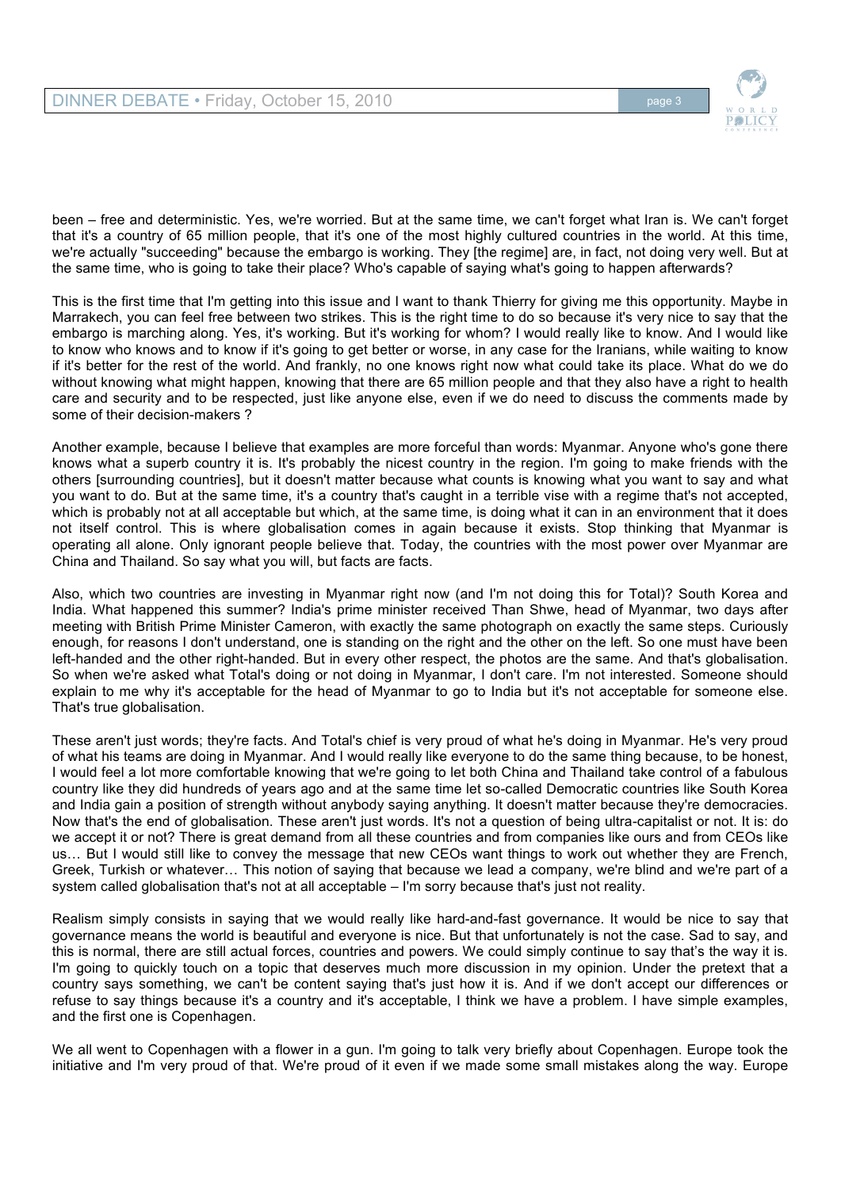

been – free and deterministic. Yes, we're worried. But at the same time, we can't forget what Iran is. We can't forget that it's a country of 65 million people, that it's one of the most highly cultured countries in the world. At this time, we're actually "succeeding" because the embargo is working. They [the regime] are, in fact, not doing very well. But at the same time, who is going to take their place? Who's capable of saying what's going to happen afterwards?

This is the first time that I'm getting into this issue and I want to thank Thierry for giving me this opportunity. Maybe in Marrakech, you can feel free between two strikes. This is the right time to do so because it's very nice to say that the embargo is marching along. Yes, it's working. But it's working for whom? I would really like to know. And I would like to know who knows and to know if it's going to get better or worse, in any case for the Iranians, while waiting to know if it's better for the rest of the world. And frankly, no one knows right now what could take its place. What do we do without knowing what might happen, knowing that there are 65 million people and that they also have a right to health care and security and to be respected, just like anyone else, even if we do need to discuss the comments made by some of their decision-makers ?

Another example, because I believe that examples are more forceful than words: Myanmar. Anyone who's gone there knows what a superb country it is. It's probably the nicest country in the region. I'm going to make friends with the others [surrounding countries], but it doesn't matter because what counts is knowing what you want to say and what you want to do. But at the same time, it's a country that's caught in a terrible vise with a regime that's not accepted, which is probably not at all acceptable but which, at the same time, is doing what it can in an environment that it does not itself control. This is where globalisation comes in again because it exists. Stop thinking that Myanmar is operating all alone. Only ignorant people believe that. Today, the countries with the most power over Myanmar are China and Thailand. So say what you will, but facts are facts.

Also, which two countries are investing in Myanmar right now (and I'm not doing this for Total)? South Korea and India. What happened this summer? India's prime minister received Than Shwe, head of Myanmar, two days after meeting with British Prime Minister Cameron, with exactly the same photograph on exactly the same steps. Curiously enough, for reasons I don't understand, one is standing on the right and the other on the left. So one must have been left-handed and the other right-handed. But in every other respect, the photos are the same. And that's globalisation. So when we're asked what Total's doing or not doing in Myanmar, I don't care. I'm not interested. Someone should explain to me why it's acceptable for the head of Myanmar to go to India but it's not acceptable for someone else. That's true globalisation.

These aren't just words; they're facts. And Total's chief is very proud of what he's doing in Myanmar. He's very proud of what his teams are doing in Myanmar. And I would really like everyone to do the same thing because, to be honest, I would feel a lot more comfortable knowing that we're going to let both China and Thailand take control of a fabulous country like they did hundreds of years ago and at the same time let so-called Democratic countries like South Korea and India gain a position of strength without anybody saying anything. It doesn't matter because they're democracies. Now that's the end of globalisation. These aren't just words. It's not a question of being ultra-capitalist or not. It is: do we accept it or not? There is great demand from all these countries and from companies like ours and from CEOs like us… But I would still like to convey the message that new CEOs want things to work out whether they are French, Greek, Turkish or whatever… This notion of saying that because we lead a company, we're blind and we're part of a system called globalisation that's not at all acceptable – I'm sorry because that's just not reality.

Realism simply consists in saying that we would really like hard-and-fast governance. It would be nice to say that governance means the world is beautiful and everyone is nice. But that unfortunately is not the case. Sad to say, and this is normal, there are still actual forces, countries and powers. We could simply continue to say that's the way it is. I'm going to quickly touch on a topic that deserves much more discussion in my opinion. Under the pretext that a country says something, we can't be content saying that's just how it is. And if we don't accept our differences or refuse to say things because it's a country and it's acceptable, I think we have a problem. I have simple examples, and the first one is Copenhagen.

We all went to Copenhagen with a flower in a gun. I'm going to talk very briefly about Copenhagen. Europe took the initiative and I'm very proud of that. We're proud of it even if we made some small mistakes along the way. Europe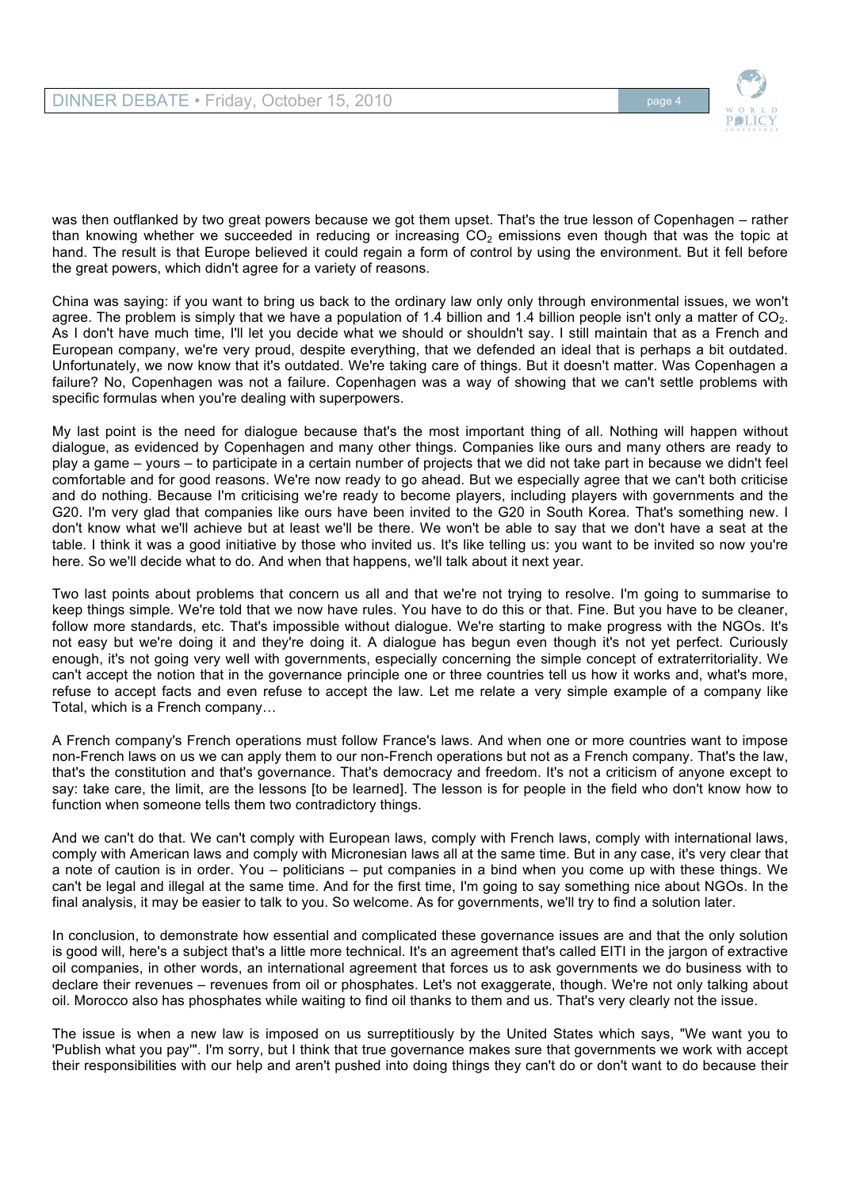

was then outflanked by two great powers because we got them upset. That's the true lesson of Copenhagen – rather than knowing whether we succeeded in reducing or increasing  $CO<sub>2</sub>$  emissions even though that was the topic at hand. The result is that Europe believed it could regain a form of control by using the environment. But it fell before the great powers, which didn't agree for a variety of reasons.

China was saying: if you want to bring us back to the ordinary law only only through environmental issues, we won't agree. The problem is simply that we have a population of 1.4 billion and 1.4 billion people isn't only a matter of  $CO<sub>2</sub>$ . As I don't have much time, I'll let you decide what we should or shouldn't say. I still maintain that as a French and European company, we're very proud, despite everything, that we defended an ideal that is perhaps a bit outdated. Unfortunately, we now know that it's outdated. We're taking care of things. But it doesn't matter. Was Copenhagen a failure? No, Copenhagen was not a failure. Copenhagen was a way of showing that we can't settle problems with specific formulas when you're dealing with superpowers.

My last point is the need for dialogue because that's the most important thing of all. Nothing will happen without dialogue, as evidenced by Copenhagen and many other things. Companies like ours and many others are ready to play a game – yours – to participate in a certain number of projects that we did not take part in because we didn't feel comfortable and for good reasons. We're now ready to go ahead. But we especially agree that we can't both criticise and do nothing. Because I'm criticising we're ready to become players, including players with governments and the G20. I'm very glad that companies like ours have been invited to the G20 in South Korea. That's something new. I don't know what we'll achieve but at least we'll be there. We won't be able to say that we don't have a seat at the table. I think it was a good initiative by those who invited us. It's like telling us: you want to be invited so now you're here. So we'll decide what to do. And when that happens, we'll talk about it next year.

Two last points about problems that concern us all and that we're not trying to resolve. I'm going to summarise to keep things simple. We're told that we now have rules. You have to do this or that. Fine. But you have to be cleaner, follow more standards, etc. That's impossible without dialogue. We're starting to make progress with the NGOs. It's not easy but we're doing it and they're doing it. A dialogue has begun even though it's not yet perfect. Curiously enough, it's not going very well with governments, especially concerning the simple concept of extraterritoriality. We can't accept the notion that in the governance principle one or three countries tell us how it works and, what's more, refuse to accept facts and even refuse to accept the law. Let me relate a very simple example of a company like Total, which is a French company…

A French company's French operations must follow France's laws. And when one or more countries want to impose non-French laws on us we can apply them to our non-French operations but not as a French company. That's the law, that's the constitution and that's governance. That's democracy and freedom. It's not a criticism of anyone except to say: take care, the limit, are the lessons [to be learned]. The lesson is for people in the field who don't know how to function when someone tells them two contradictory things.

And we can't do that. We can't comply with European laws, comply with French laws, comply with international laws, comply with American laws and comply with Micronesian laws all at the same time. But in any case, it's very clear that a note of caution is in order. You – politicians – put companies in a bind when you come up with these things. We can't be legal and illegal at the same time. And for the first time, I'm going to say something nice about NGOs. In the final analysis, it may be easier to talk to you. So welcome. As for governments, we'll try to find a solution later.

In conclusion, to demonstrate how essential and complicated these governance issues are and that the only solution is good will, here's a subject that's a little more technical. It's an agreement that's called EITI in the jargon of extractive oil companies, in other words, an international agreement that forces us to ask governments we do business with to declare their revenues – revenues from oil or phosphates. Let's not exaggerate, though. We're not only talking about oil. Morocco also has phosphates while waiting to find oil thanks to them and us. That's very clearly not the issue.

The issue is when a new law is imposed on us surreptitiously by the United States which says, "We want you to 'Publish what you pay'". I'm sorry, but I think that true governance makes sure that governments we work with accept their responsibilities with our help and aren't pushed into doing things they can't do or don't want to do because their